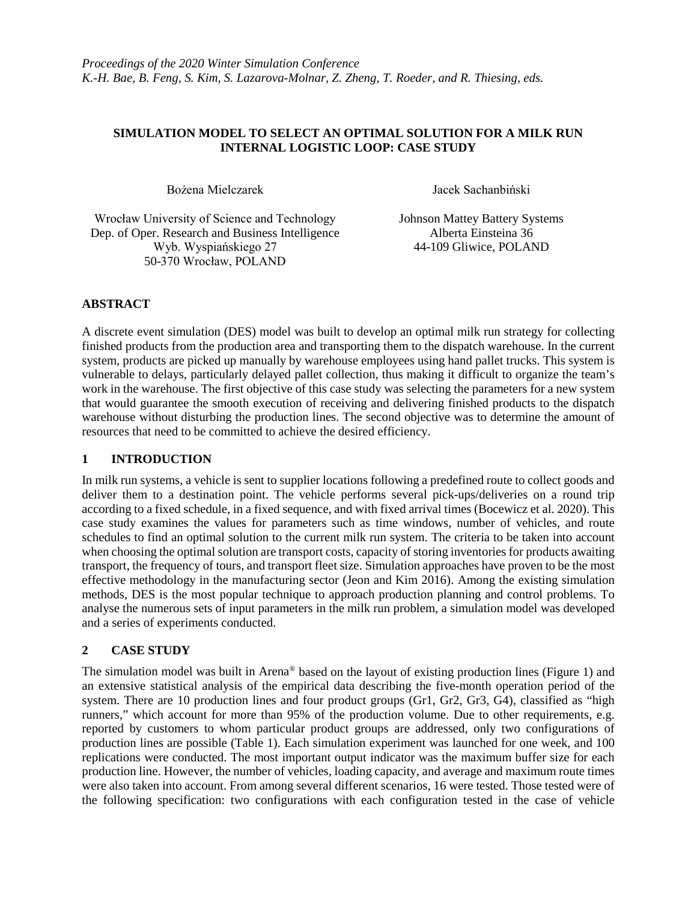### **SIMULATION MODEL TO SELECT AN OPTIMAL SOLUTION FOR A MILK RUN INTERNAL LOGISTIC LOOP: CASE STUDY**

Bożena Mielczarek **Instrumental Instrumental Instrumental Instrumental Instrumental Instrumental Instrumental Instrumental Instrumental Instrumental Instrumental Instrumental Instrumental Instrumental Instrumental Instrume** 

Wrocław University of Science and Technology Johnson Mattey Battery Systems<br>
Dep. of Oper. Research and Business Intelligence Alberta Einsteina 36 Dep. of Oper. Research and Business Intelligence Wyb. Wyspiańskiego 27 44-109 Gliwice, POLAND 50-370 Wrocław, POLAND

# **ABSTRACT**

A discrete event simulation (DES) model was built to develop an optimal milk run strategy for collecting finished products from the production area and transporting them to the dispatch warehouse. In the current system, products are picked up manually by warehouse employees using hand pallet trucks. This system is vulnerable to delays, particularly delayed pallet collection, thus making it difficult to organize the team's work in the warehouse. The first objective of this case study was selecting the parameters for a new system that would guarantee the smooth execution of receiving and delivering finished products to the dispatch warehouse without disturbing the production lines. The second objective was to determine the amount of resources that need to be committed to achieve the desired efficiency.

## **1 INTRODUCTION**

In milk run systems, a vehicle is sent to supplier locations following a predefined route to collect goods and deliver them to a destination point. The vehicle performs several pick-ups/deliveries on a round trip according to a fixed schedule, in a fixed sequence, and with fixed arrival times (Bocewicz et al. 2020). This case study examines the values for parameters such as time windows, number of vehicles, and route schedules to find an optimal solution to the current milk run system. The criteria to be taken into account when choosing the optimal solution are transport costs, capacity of storing inventories for products awaiting transport, the frequency of tours, and transport fleet size. Simulation approaches have proven to be the most effective methodology in the manufacturing sector (Jeon and Kim 2016). Among the existing simulation methods, DES is the most popular technique to approach production planning and control problems. To analyse the numerous sets of input parameters in the milk run problem, a simulation model was developed and a series of experiments conducted.

## **2 CASE STUDY**

The simulation model was built in Arena® based on the layout of existing production lines (Figure 1) and an extensive statistical analysis of the empirical data describing the five-month operation period of the system. There are 10 production lines and four product groups (Gr1, Gr2, Gr3, G4), classified as "high runners," which account for more than 95% of the production volume. Due to other requirements, e.g. reported by customers to whom particular product groups are addressed, only two configurations of production lines are possible (Table 1). Each simulation experiment was launched for one week, and 100 replications were conducted. The most important output indicator was the maximum buffer size for each production line. However, the number of vehicles, loading capacity, and average and maximum route times were also taken into account. From among several different scenarios, 16 were tested. Those tested were of the following specification: two configurations with each configuration tested in the case of vehicle